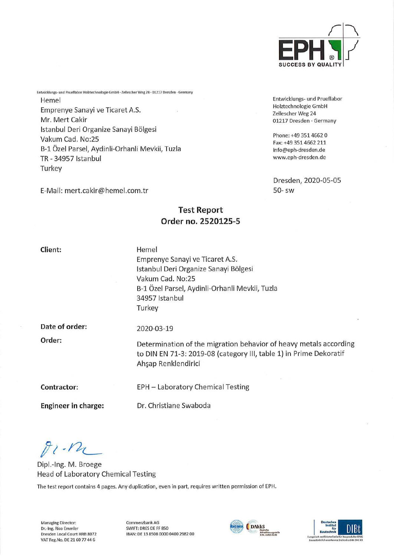

Entwicklungs- und Prueflabor Holztechnologie GmbH Zellescher Weg 24 01217 Dresden · Germany

Phone: +49 351 4662 0 Fax:+49 3514662 211 info@eph-dresden.de www.eph-dresden.de

Dresden, 2020-05-05

50- sw

Entwicklungs- und Prueflabor Holztechnologie GmbH • Zellescher Weg 24 • 01217 Dresden • Germany Hemel Emprenye Sanayi ve Ticaret A.S. Mr. Mert Cakir Istanbul Der! Organize Sanayi Bölgesi Vakum Cad. No:25 B-1 Özel Parsel, Aydinli-Orhanli Mevkii, Tuzla TR-34957 Istanbul **Turkey** 

E-Mail: mert.cakir@hemel.com.tr

# Test Report Order no. 2520125-5

Client:

Hemel Emprenye Sanayi ve Ticaret A.S. Istanbul Deri Organize Sanayi Bölgesi Vakum Cad. No:25 B-l Özel Parsel, Aydinli-Orhanli Mevkii, Tuzla 34957 Istanbul **Turkey** 

Date of order:

2020-03-19

Order:

Determination of the migration behavior of heavy metals according to DIN EN 71-3: 2019-08 (category III, table 1) in Prime Dekoratif Ah§ap Renklendirici

Contractor:

Engineer in Charge:

Dr. Christiane Swaboda

EPH - Laboratory Chemical Testing

 $81 - 12$ 

Dipl.-Ing. M. Broege Head of Laboratory Chemical Testing

The test report contains 4 pages. Any duplication, even in pari, requires written permission of EPH.

Managing Director: Dr.-Ing. Rico Emmler Dresden Local Court HRB 8072 VAT Reg.No. DE 21 60 77 44 6

Commerzbank AG SWIFT: DRES DE FF 850 IBAN: DE 13 8508 0000 0400 2982 00



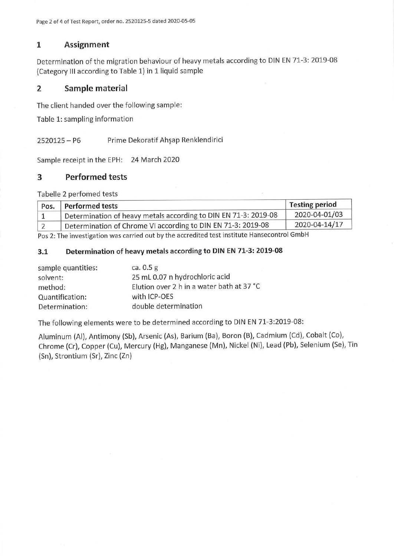# 1 Assignment

Determination of the migration behaviour of heavy metals according to DIN EN 71-3: 2019-08 (Category III according to Table 1) in 1 liquid sample

# 2 Sample material

The client handed over the following sample:

Table 1: sampling information

2520125 - P6 Prime Dekoratif Ah§ap Renklendirici

Sample receipt in the EPH: 24 March 2020

## 3 Performed tests

Tabelle 2 perfomed tests

| Pos. | Performed tests                                                 | Testing period |
|------|-----------------------------------------------------------------|----------------|
|      | Determination of heavy metals according to DIN EN 71-3: 2019-08 | 2020-04-01/03  |
|      | Determination of Chrome VI according to DIN EN 71-3: 2019-08    | 2020-04-14/17  |

Pos 2: The investigation was carried out by the accredited test institute Hansecontrol GmbH

### 3.1 Determination of heavy metals according to DIN EN 71-3: 2019-08

| sample quantities: | ca. $0.5$ g                               |
|--------------------|-------------------------------------------|
| solvent:           | 25 mL 0.07 n hydrochloric acid            |
| method:            | Elution over 2 h in a water bath at 37 °C |
| Quantification:    | with ICP-OES                              |
| Determination:     | double determination                      |

The following elements were to be determined according to DIN EN 71-3:2019-08:

Aluminum (Al), Antimony (Sb), Arsenic (As), Barium (Ba), Boron (B), Cadmium (Cd), Cobalt (Co), Chrome (Cr), Copper (Cu), Mercury (Hg), Manganese (Mn), Nickel (Ni), Lead (Pb), Selenium (Se), Tin (Sn), Strontium (Sr), Zinc (Zn)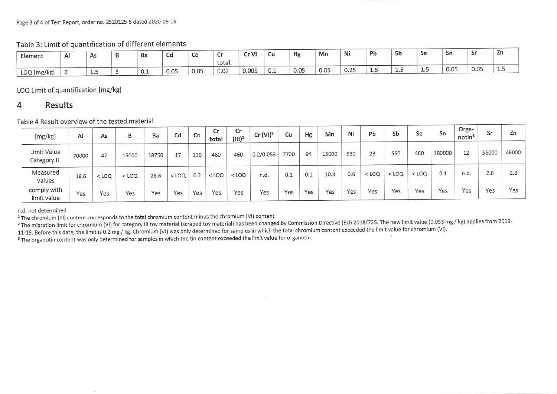#### Page 3 of 4 of Test Report, order no. 2520125-5 dated 2020-05-05

Table 3: Limit of quantification of different elements

| Element     | Al | A <sub>S</sub><br><b>Service Library</b> | Dd  | Cd<br><b>COLLE</b>                     | Co   | ີ<br>total. | CrV<br>ື | Cu  | Hg   | Mn   | Ni                      | Pb   | Sb | sе | Sn   | $\tilde{}$ | Zn   |
|-------------|----|------------------------------------------|-----|----------------------------------------|------|-------------|----------|-----|------|------|-------------------------|------|----|----|------|------------|------|
| LOQ [mg/kg] |    | سمد                                      | U.1 | 0 Q 5<br>$\mathsf{U} \cdot \mathsf{U}$ | 0.05 | 0.02        | 0.005    | 0.1 | 0.05 | 0.05 | 0.25<br>$\cup$ . $\sim$ | سيست | -- | -- | 0.05 | 0.05       | $-1$ |

LOQ Limit of quantification [mg/kg]

# 4 Results

Table 4 Result overview of the tested material

- 25

| [mg/kg]                     | Al    | As      | в       | Вa    | Cd      | Co  | Cr<br>total | Cr<br>$(III)^1$ | Cr (VI) <sup>2</sup> | Cu   | Hg  | Mn    | Ni  | Pb      | Sb      | Se      | Sn     | Orga-<br>notin <sup>3</sup> | Sr    | Zn    |
|-----------------------------|-------|---------|---------|-------|---------|-----|-------------|-----------------|----------------------|------|-----|-------|-----|---------|---------|---------|--------|-----------------------------|-------|-------|
| Limit Value<br>Category III | 70000 | 47      | 15000   | 18750 | 17      | 130 | 460         | 460             | 0.2/0.053            | 7700 | 94  | 15000 | 930 | 23      | 560     | 460     | 180000 | 12                          | 56000 | 46000 |
| Measured<br>Values          | 16.6  | $<$ LOQ | $<$ LOQ | 28.6  | $<$ LOQ | 0.2 | $<$ LOQ     | $<$ LOQ         | n.d.                 | 0.1  | 0.1 | 10.3  | 0.6 | $<$ LOQ | $<$ LOQ | $<$ LOQ | 0.1    | n.d.                        | 2.6   | 2.8   |
| comply with<br>limit value  | Yes   | Yes     | Yes     | Yes   | Yes     | Yes | Yes         | Yes             | Yes                  | Yes  | Yes | Yes   | Yes | Yes     | Yes     | Yes     | Yes    | Yes                         | Yes   | Yes   |

n.d. not determined

<sup>1</sup> The chromium (III) content corresponds to the total chromium content minus the chromium (VI) content

<sup>2</sup> The migration limit for chromium (VI) for category III toy material (scraped toy material) has been changed by Commission Directive (EU) 2018/725. The new limit value (0.053 mg / kg) applies from 2019-

11-18. Before this date, the limit is 0.2 mg / kg. Chromium (VI) was only determined for samples in which the total chromium content exceeded the limit value for chromium (VI).

<sup>3</sup> The organotin content was only determined for samples in which the tin content exceeded the limit value for organotin.